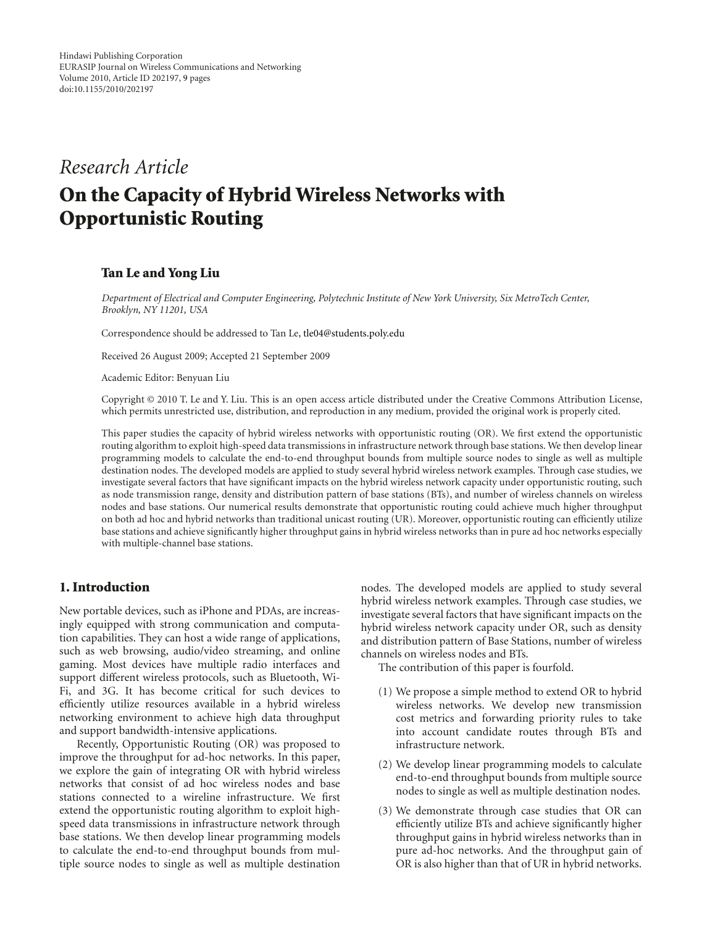# *Research Article* **On the Capacity of Hybrid Wireless Networks with Opportunistic Routing**

# **Tan Le and Yong Liu**

*Department of Electrical and Computer Engineering, Polytechnic Institute of New York University, Six MetroTech Center, Brooklyn, NY 11201, USA*

Correspondence should be addressed to Tan Le, tle04@students.poly.edu

Received 26 August 2009; Accepted 21 September 2009

Academic Editor: Benyuan Liu

Copyright © 2010 T. Le and Y. Liu. This is an open access article distributed under the Creative Commons Attribution License, which permits unrestricted use, distribution, and reproduction in any medium, provided the original work is properly cited.

This paper studies the capacity of hybrid wireless networks with opportunistic routing (OR). We first extend the opportunistic routing algorithm to exploit high-speed data transmissions in infrastructure network through base stations. We then develop linear programming models to calculate the end-to-end throughput bounds from multiple source nodes to single as well as multiple destination nodes. The developed models are applied to study several hybrid wireless network examples. Through case studies, we investigate several factors that have significant impacts on the hybrid wireless network capacity under opportunistic routing, such as node transmission range, density and distribution pattern of base stations (BTs), and number of wireless channels on wireless nodes and base stations. Our numerical results demonstrate that opportunistic routing could achieve much higher throughput on both ad hoc and hybrid networks than traditional unicast routing (UR). Moreover, opportunistic routing can efficiently utilize base stations and achieve significantly higher throughput gains in hybrid wireless networks than in pure ad hoc networks especially with multiple-channel base stations.

# **1. Introduction**

New portable devices, such as iPhone and PDAs, are increasingly equipped with strong communication and computation capabilities. They can host a wide range of applications, such as web browsing, audio/video streaming, and online gaming. Most devices have multiple radio interfaces and support different wireless protocols, such as Bluetooth, Wi-Fi, and 3G. It has become critical for such devices to efficiently utilize resources available in a hybrid wireless networking environment to achieve high data throughput and support bandwidth-intensive applications.

Recently, Opportunistic Routing (OR) was proposed to improve the throughput for ad-hoc networks. In this paper, we explore the gain of integrating OR with hybrid wireless networks that consist of ad hoc wireless nodes and base stations connected to a wireline infrastructure. We first extend the opportunistic routing algorithm to exploit highspeed data transmissions in infrastructure network through base stations. We then develop linear programming models to calculate the end-to-end throughput bounds from multiple source nodes to single as well as multiple destination nodes. The developed models are applied to study several hybrid wireless network examples. Through case studies, we investigate several factors that have significant impacts on the hybrid wireless network capacity under OR, such as density and distribution pattern of Base Stations, number of wireless channels on wireless nodes and BTs.

The contribution of this paper is fourfold.

- (1) We propose a simple method to extend OR to hybrid wireless networks. We develop new transmission cost metrics and forwarding priority rules to take into account candidate routes through BTs and infrastructure network.
- (2) We develop linear programming models to calculate end-to-end throughput bounds from multiple source nodes to single as well as multiple destination nodes.
- (3) We demonstrate through case studies that OR can efficiently utilize BTs and achieve significantly higher throughput gains in hybrid wireless networks than in pure ad-hoc networks. And the throughput gain of OR is also higher than that of UR in hybrid networks.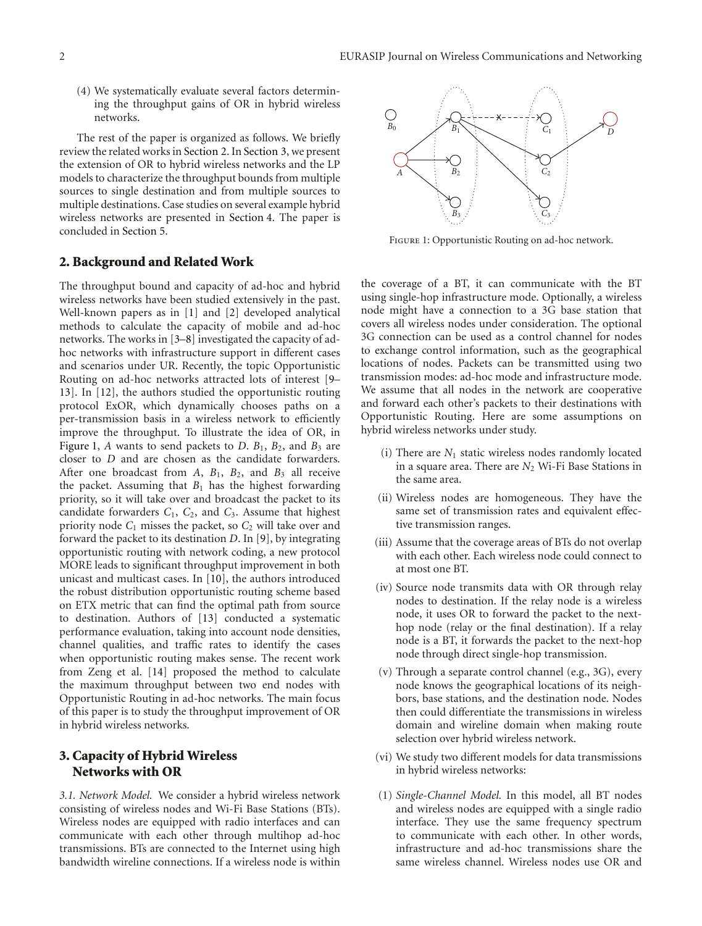(4) We systematically evaluate several factors determining the throughput gains of OR in hybrid wireless networks.

The rest of the paper is organized as follows. We briefly review the related works in Section 2. In Section 3, we present the extension of OR to hybrid wireless networks and the LP models to characterize the throughput bounds from multiple sources to single destination and from multiple sources to multiple destinations. Case studies on several example hybrid wireless networks are presented in Section 4. The paper is concluded in Section 5.

#### **2. Background and Related Work**

The throughput bound and capacity of ad-hoc and hybrid wireless networks have been studied extensively in the past. Well-known papers as in [1] and [2] developed analytical methods to calculate the capacity of mobile and ad-hoc networks. The works in [3–8] investigated the capacity of adhoc networks with infrastructure support in different cases and scenarios under UR. Recently, the topic Opportunistic Routing on ad-hoc networks attracted lots of interest [9– 13]. In [12], the authors studied the opportunistic routing protocol ExOR, which dynamically chooses paths on a per-transmission basis in a wireless network to efficiently improve the throughput. To illustrate the idea of OR, in Figure 1, *A* wants to send packets to *D*.  $B_1$ ,  $B_2$ , and  $B_3$  are closer to *D* and are chosen as the candidate forwarders. After one broadcast from *A*, *B*1, *B*2, and *B*<sup>3</sup> all receive the packet. Assuming that *B*<sup>1</sup> has the highest forwarding priority, so it will take over and broadcast the packet to its candidate forwarders *C*1, *C*2, and *C*3. Assume that highest priority node *C*<sup>1</sup> misses the packet, so *C*<sup>2</sup> will take over and forward the packet to its destination *D*. In [9], by integrating opportunistic routing with network coding, a new protocol MORE leads to significant throughput improvement in both unicast and multicast cases. In [10], the authors introduced the robust distribution opportunistic routing scheme based on ETX metric that can find the optimal path from source to destination. Authors of [13] conducted a systematic performance evaluation, taking into account node densities, channel qualities, and traffic rates to identify the cases when opportunistic routing makes sense. The recent work from Zeng et al. [14] proposed the method to calculate the maximum throughput between two end nodes with Opportunistic Routing in ad-hoc networks. The main focus of this paper is to study the throughput improvement of OR in hybrid wireless networks.

# **3. Capacity of Hybrid Wireless Networks with OR**

*3.1. Network Model.* We consider a hybrid wireless network consisting of wireless nodes and Wi-Fi Base Stations (BTs). Wireless nodes are equipped with radio interfaces and can communicate with each other through multihop ad-hoc transmissions. BTs are connected to the Internet using high bandwidth wireline connections. If a wireless node is within



Figure 1: Opportunistic Routing on ad-hoc network.

the coverage of a BT, it can communicate with the BT using single-hop infrastructure mode. Optionally, a wireless node might have a connection to a 3G base station that covers all wireless nodes under consideration. The optional 3G connection can be used as a control channel for nodes to exchange control information, such as the geographical locations of nodes. Packets can be transmitted using two transmission modes: ad-hoc mode and infrastructure mode. We assume that all nodes in the network are cooperative and forward each other's packets to their destinations with Opportunistic Routing. Here are some assumptions on hybrid wireless networks under study.

- (i) There are  $N_1$  static wireless nodes randomly located in a square area. There are  $N_2$  Wi-Fi Base Stations in the same area.
- (ii) Wireless nodes are homogeneous. They have the same set of transmission rates and equivalent effective transmission ranges.
- (iii) Assume that the coverage areas of BTs do not overlap with each other. Each wireless node could connect to at most one BT.
- (iv) Source node transmits data with OR through relay nodes to destination. If the relay node is a wireless node, it uses OR to forward the packet to the nexthop node (relay or the final destination). If a relay node is a BT, it forwards the packet to the next-hop node through direct single-hop transmission.
- (v) Through a separate control channel (e.g., 3G), every node knows the geographical locations of its neighbors, base stations, and the destination node. Nodes then could differentiate the transmissions in wireless domain and wireline domain when making route selection over hybrid wireless network.
- (vi) We study two different models for data transmissions in hybrid wireless networks:
- (1) *Single-Channel Model.* In this model, all BT nodes and wireless nodes are equipped with a single radio interface. They use the same frequency spectrum to communicate with each other. In other words, infrastructure and ad-hoc transmissions share the same wireless channel. Wireless nodes use OR and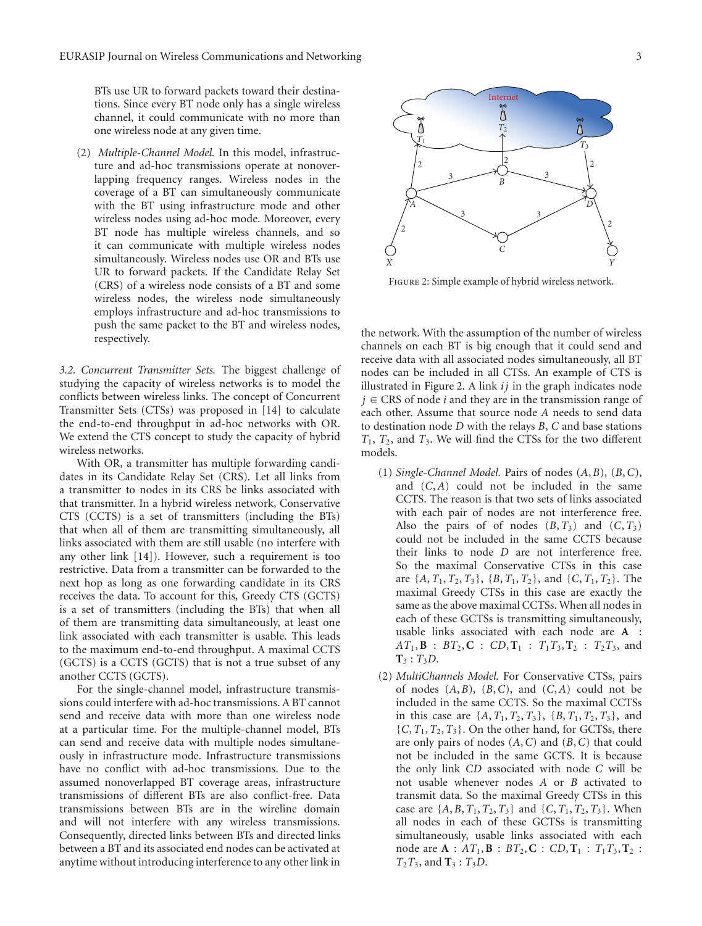BTs use UR to forward packets toward their destinations. Since every BT node only has a single wireless channel, it could communicate with no more than one wireless node at any given time.

(2) *Multiple-Channel Model.* In this model, infrastructure and ad-hoc transmissions operate at nonoverlapping frequency ranges. Wireless nodes in the coverage of a BT can simultaneously communicate with the BT using infrastructure mode and other wireless nodes using ad-hoc mode. Moreover, every BT node has multiple wireless channels, and so it can communicate with multiple wireless nodes simultaneously. Wireless nodes use OR and BTs use UR to forward packets. If the Candidate Relay Set (CRS) of a wireless node consists of a BT and some wireless nodes, the wireless node simultaneously employs infrastructure and ad-hoc transmissions to push the same packet to the BT and wireless nodes, respectively.

*3.2. Concurrent Transmitter Sets.* The biggest challenge of studying the capacity of wireless networks is to model the conflicts between wireless links. The concept of Concurrent Transmitter Sets (CTSs) was proposed in [14] to calculate the end-to-end throughput in ad-hoc networks with OR. We extend the CTS concept to study the capacity of hybrid wireless networks.

With OR, a transmitter has multiple forwarding candidates in its Candidate Relay Set (CRS). Let all links from a transmitter to nodes in its CRS be links associated with that transmitter. In a hybrid wireless network, Conservative CTS (CCTS) is a set of transmitters (including the BTs) that when all of them are transmitting simultaneously, all links associated with them are still usable (no interfere with any other link [14]). However, such a requirement is too restrictive. Data from a transmitter can be forwarded to the next hop as long as one forwarding candidate in its CRS receives the data. To account for this, Greedy CTS (GCTS) is a set of transmitters (including the BTs) that when all of them are transmitting data simultaneously, at least one link associated with each transmitter is usable. This leads to the maximum end-to-end throughput. A maximal CCTS (GCTS) is a CCTS (GCTS) that is not a true subset of any another CCTS (GCTS).

For the single-channel model, infrastructure transmissions could interfere with ad-hoc transmissions. A BT cannot send and receive data with more than one wireless node at a particular time. For the multiple-channel model, BTs can send and receive data with multiple nodes simultaneously in infrastructure mode. Infrastructure transmissions have no conflict with ad-hoc transmissions. Due to the assumed nonoverlapped BT coverage areas, infrastructure transmissions of different BTs are also conflict-free. Data transmissions between BTs are in the wireline domain and will not interfere with any wireless transmissions. Consequently, directed links between BTs and directed links between a BT and its associated end nodes can be activated at anytime without introducing interference to any other link in



Figure 2: Simple example of hybrid wireless network.

the network. With the assumption of the number of wireless channels on each BT is big enough that it could send and receive data with all associated nodes simultaneously, all BT nodes can be included in all CTSs. An example of CTS is illustrated in Figure 2. A link *ij* in the graph indicates node *j* ∈ CRS of node *i* and they are in the transmission range of each other. Assume that source node *A* needs to send data to destination node *D* with the relays *B*, *C* and base stations *T*1, *T*2, and *T*3. We will find the CTSs for the two different models.

- (1) *Single-Channel Model.* Pairs of nodes (*A*, *B*), (*B*,*C*), and (*C*,*A*) could not be included in the same CCTS. The reason is that two sets of links associated with each pair of nodes are not interference free. Also the pairs of of nodes  $(B, T_3)$  and  $(C, T_3)$ could not be included in the same CCTS because their links to node *D* are not interference free. So the maximal Conservative CTSs in this case are {*A*,*T*1,*T*2,*T*3}, {*B*,*T*1,*T*2}, and {*C*,*T*1,*T*2}. The maximal Greedy CTSs in this case are exactly the same as the above maximal CCTSs. When all nodes in each of these GCTSs is transmitting simultaneously, usable links associated with each node are **A** :  $AT_1$ , **B** :  $BT_2$ , **C** :  $CD$ ,  $T_1$  :  $T_1T_3$ ,  $T_2$  :  $T_2T_3$ , and  $T_3$ :  $T_3D$ .
- (2) *MultiChannels Model.* For Conservative CTSs, pairs of nodes  $(A, B)$ ,  $(B, C)$ , and  $(C, A)$  could not be included in the same CCTS. So the maximal CCTSs in this case are  $\{A, T_1, T_2, T_3\}$ ,  $\{B, T_1, T_2, T_3\}$ , and  ${C, T_1, T_2, T_3}$ . On the other hand, for GCTSs, there are only pairs of nodes (*A*,*C*) and (*B*,*C*) that could not be included in the same GCTS. It is because the only link *CD* associated with node *C* will be not usable whenever nodes *A* or *B* activated to transmit data. So the maximal Greedy CTSs in this case are  $\{A, B, T_1, T_2, T_3\}$  and  $\{C, T_1, T_2, T_3\}$ . When all nodes in each of these GCTSs is transmitting simultaneously, usable links associated with each node are **A** : *AT*1,**B** : *BT*2,**C** : *CD*,**T**<sup>1</sup> : *T*1*T*3,**T**<sup>2</sup> : *T*2*T*3, and **T**<sup>3</sup> : *T*3*D*.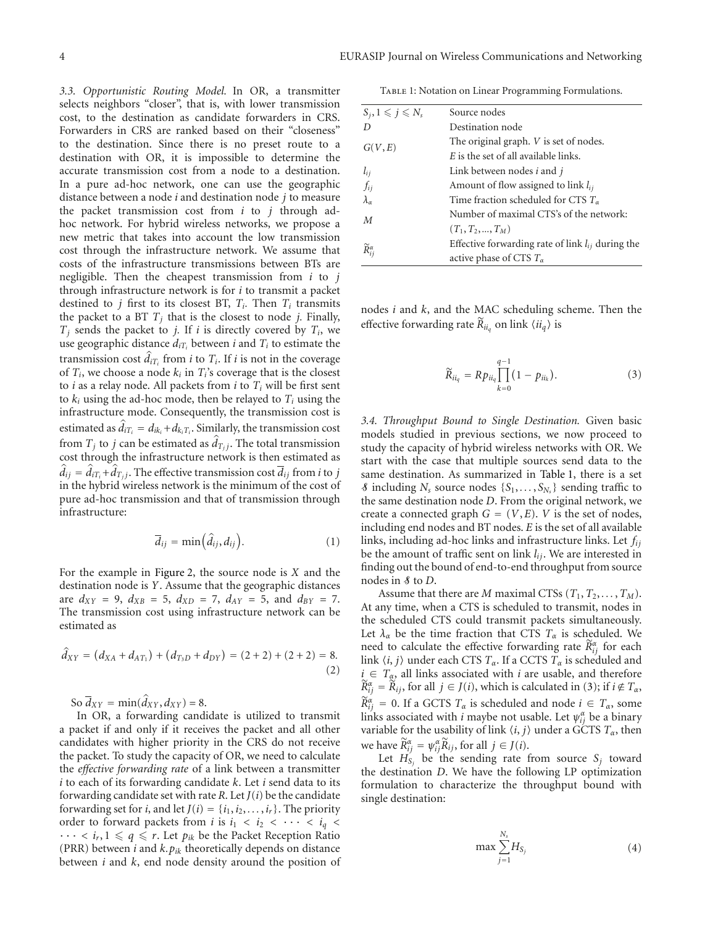*3.3. Opportunistic Routing Model.* In OR, a transmitter selects neighbors "closer", that is, with lower transmission cost, to the destination as candidate forwarders in CRS. Forwarders in CRS are ranked based on their "closeness" to the destination. Since there is no preset route to a destination with OR, it is impossible to determine the accurate transmission cost from a node to a destination. In a pure ad-hoc network, one can use the geographic distance between a node *i* and destination node *j* to measure the packet transmission cost from *i* to *j* through adhoc network. For hybrid wireless networks, we propose a new metric that takes into account the low transmission cost through the infrastructure network. We assume that costs of the infrastructure transmissions between BTs are negligible. Then the cheapest transmission from *i* to *j* through infrastructure network is for *i* to transmit a packet destined to *j* first to its closest BT,  $T_i$ . Then  $T_i$  transmits the packet to a BT  $T_i$  that is the closest to node  $j$ . Finally,  $T_j$  sends the packet to *j.* If *i* is directly covered by  $T_i$ , we use geographic distance  $d_{iT_i}$  between  $i$  and  $T_i$  to estimate the transmission cost  $d_{iT_i}$  from  $i$  to  $T_i$ . If  $i$  is not in the coverage of  $T_i$ , we choose a node  $k_i$  in  $T_i$ 's coverage that is the closest to *i* as a relay node. All packets from *i* to  $T_i$  will be first sent to *k<sub>i</sub>* using the ad-hoc mode, then be relayed to  $T_i$  using the infrastructure mode. Consequently, the transmission cost is estimated as  $d_{iT_i} = d_{ik_i} + d_{k_iT_i}$ . Similarly, the transmission cost from  $T_j$  to *j* can be estimated as  $\hat{d}_{T_jj}$ . The total transmission cost through the infrastructure network is then estimated as  $d_{ij} = d_{iT_i} + d_{T_jj}$ . The effective transmission cost  $d_{ij}$  from *i* to *j* in the hybrid wireless network is the minimum of the cost of pure ad-hoc transmission and that of transmission through<br>infrastructure:<br> $\overline{d}_{ij} = \min(\hat{d}_{ij}, d_{ij}).$  (1) infrastructure:

$$
\overline{d}_{ij} = \min(\hat{d}_{ij}, d_{ij}). \tag{1}
$$

For the example in Figure 2, the source node is *X* and the destination node is *Y*. Assume that the geographic distances are  $d_{XY} = 9$ ,  $d_{XB} = 5$ ,  $d_{XD} = 7$ ,  $d_{AY} = 5$ , and  $d_{BY} = 7$ . The transmission cost using infrastructure network can be<br>
estimated as<br>  $\hat{d}_{XY} = (d_{XA} + d_{AT_1}) + (d_{T_3D} + d_{DY}) = (2 + 2) + (2 + 2) = 8.$ estimated as -

$$
\hat{d}_{XY} = (d_{XA} + d_{AT_1}) + (d_{T_3D} + d_{DY}) = (2 + 2) + (2 + 2) = 8.
$$
\n(2)

So  $d_{XY} = \min(d_{XY}, d_{XY}) = 8.$ 

In OR, a forwarding candidate is utilized to transmit a packet if and only if it receives the packet and all other candidates with higher priority in the CRS do not receive the packet. To study the capacity of OR, we need to calculate the *effective forwarding rate* of a link between a transmitter *i* to each of its forwarding candidate *k*. Let *i* send data to its forwarding candidate set with rate *R*. Let *J*(*i*) be the candidate forwarding set for *i*, and let  $J(i) = \{i_1, i_2, \ldots, i_r\}$ . The priority order to forward packets from *i* is  $i_1 < i_2 < \cdots < i_q <$  $\cdots$  *< i<sub>r</sub>*,  $1 \leq q \leq r$ . Let  $p_{ik}$  be the Packet Reception Ratio (PRR) between *i* and *k.pik* theoretically depends on distance between *i* and *k*, end node density around the position of

TABLE 1: Notation on Linear Programming Formulations.

| $S_i, 1 \leqslant j \leqslant N_s$ | Source nodes                                          |
|------------------------------------|-------------------------------------------------------|
|                                    | Destination node                                      |
| G(V,E)                             | The original graph. <i>V</i> is set of nodes.         |
|                                    | E is the set of all available links.                  |
| $l_{ij}$                           | Link between nodes <i>i</i> and <i>j</i>              |
| $f_{ij}$                           | Amount of flow assigned to link $l_{ii}$              |
| $\lambda_{\alpha}$                 | Time fraction scheduled for CTS $T_{\alpha}$          |
| $\overline{M}$                     | Number of maximal CTS's of the network:               |
|                                    | $(T_1, T_2, , T_M)$                                   |
| $\widetilde{R}_{ii}^{\alpha}$      | Effective forwarding rate of link $l_{ij}$ during the |
|                                    | active phase of CTS $T_{\alpha}$                      |

nodes *i* and *k*, and the MAC scheduling scheme. Then the nodes *i* and *k*, and the MAC scheduling s<br>effective forwarding rate  $\widetilde{R}_{ii_q}$  on link  $\langle ii_q \rangle$  is

$$
\widetilde{R}_{ii_q} = R p_{ii_q} \prod_{k=0}^{q-1} (1 - p_{ii_k}).
$$
\n(3)

*3.4. Throughput Bound to Single Destination.* Given basic models studied in previous sections, we now proceed to study the capacity of hybrid wireless networks with OR. We start with the case that multiple sources send data to the same destination. As summarized in Table 1, there is a set  $\delta$  including  $N_s$  source nodes  $\{S_1, \ldots, S_{N_s}\}\$  sending traffic to the same destination node *D*. From the original network, we create a connected graph  $G = (V, E)$ . *V* is the set of nodes, including end nodes and BT nodes. *E* is the set of all available links, including ad-hoc links and infrastructure links. Let *fij* be the amount of traffic sent on link *lij*. We are interested in finding out the bound of end-to-end throughput from source nodes in S to *D*.

Assume that there are *M* maximal CTSs  $(T_1, T_2, \ldots, T_M)$ . At any time, when a CTS is scheduled to transmit, nodes in the scheduled CTS could transmit packets simultaneously. Let  $\lambda_{\alpha}$  be the time fraction that CTS  $T_{\alpha}$  is scheduled. We Referred to calculate TS could transmit packets simultaneously.<br>Let  $\lambda_{\alpha}$  be the time fraction that CTS  $T_{\alpha}$  is scheduled. We<br>need to calculate the effective forwarding rate  $\widetilde{R}^{\alpha}_{ij}$  for each link  $\langle i, j \rangle$  under each CTS  $T_{\alpha}$ . If a CCTS  $T_{\alpha}$  is scheduled and  $i \in T_{\alpha}$ , all links associated with *i* are usable, and therefore  $\widetilde{R}_{ij}^{\alpha} = \widetilde{R}_{ij}$ , for all  $j \in J(i)$ , which is calculated in (3); if  $i \$  $i \in T_{\alpha}$ , all links associated with *i* are usable, and therefore  $\widetilde{R}^{\alpha}_{ij} = \widetilde{R}_{ij}$ , for all  $j \in J(i)$ , which is calculated in (3); if  $i \notin T_{\alpha}$ ,  $\hat{R}_{ij}^{\alpha} = 0$ . If a GCTS  $T_{\alpha}$  is scheduled and node  $i \in T_{\alpha}$ , some links associated with *i* maybe not usable. Let  $\psi_{ij}^{\alpha}$  be a binary variable for the usability of link  $\langle i, j \rangle$  under a GCTS  $T_{\alpha}$ , then links associated with *i* maybe not us<br>variable for the usability of link  $\langle i, j \rangle$ ,<br>we have  $\widetilde{R}^{\alpha}_{ij} = \psi^{\alpha}_{ij} \widetilde{R}_{ij}$ , for all  $j \in J(i)$ .

Let  $H_{S_i}$  be the sending rate from source  $S_j$  toward the destination *D*. We have the following LP optimization formulation to characterize the throughput bound with single destination:

$$
\max \sum_{j=1}^{N_s} H_{S_j}
$$
 (4)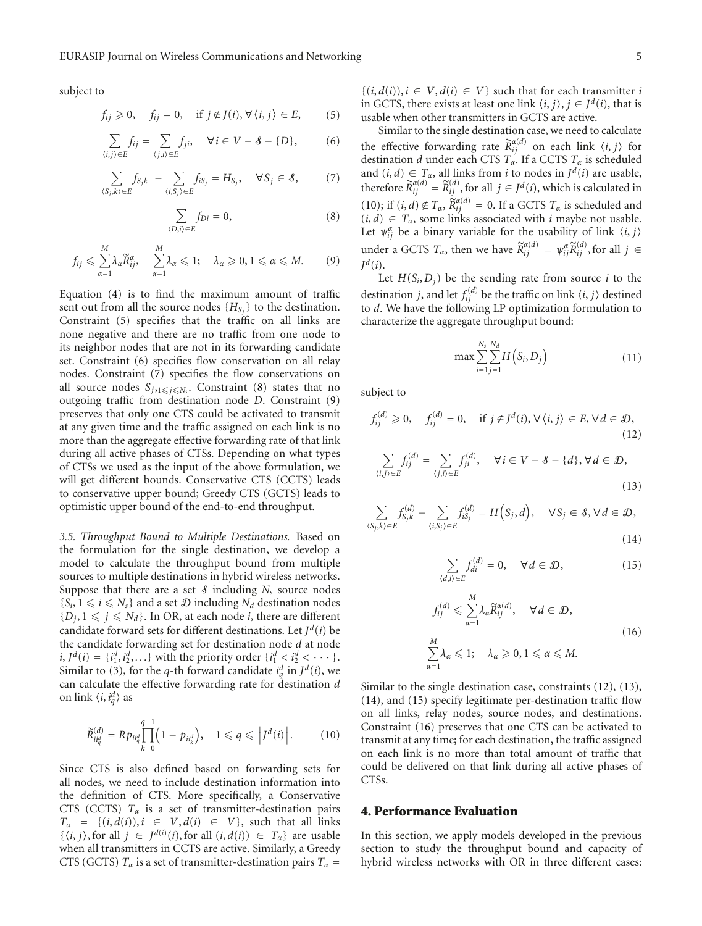subject to

$$
\begin{aligned}\n\text{so} \\
f_{ij} \geq 0, \quad f_{ij} = 0, \quad \text{if } j \notin J(i), \forall \langle i, j \rangle \in E, \\
\sum f_{ij} = \sum f_{ji}, \quad \forall i \in V - \mathcal{S} - \{D\},\n\end{aligned} \tag{5}
$$

$$
\sum_{(i,j)\in E} f_{ij} = \sum_{(j,i)\in E} f_{ji}, \quad \forall i \in V - \mathcal{S} - \{D\}, \tag{6}
$$

$$
\sum f_{S_j k} - \sum f_{iS_j} = H_{S_j}, \quad \forall S_j \in \mathcal{S}, \tag{7}
$$

$$
\sum_{\langle S_j, k \rangle \in E} f_{S_j k} - \sum_{\langle i, S_j \rangle \in E} f_{iS_j} = H_{S_j}, \quad \forall S_j \in \mathcal{S}, \tag{7}
$$

$$
\sum_{\langle D,i\rangle \in E} f_{Di} = 0, \tag{8}
$$

$$
\sum_{\langle D,i\rangle \in E} f_{Di} = 0, \tag{8}
$$
  

$$
f_{ij} \leq \sum_{\alpha=1}^{M} \lambda_{\alpha} \widetilde{R}_{ij}^{\alpha}, \quad \sum_{\alpha=1}^{M} \lambda_{\alpha} \leq 1; \quad \lambda_{\alpha} \geq 0, 1 \leq \alpha \leq M. \tag{9}
$$

Equation (4) is to find the maximum amount of traffic sent out from all the source nodes  ${H_S}$  to the destination. Constraint (5) specifies that the traffic on all links are none negative and there are no traffic from one node to its neighbor nodes that are not in its forwarding candidate set. Constraint (6) specifies flow conservation on all relay nodes. Constraint (7) specifies the flow conservations on all source nodes  $S_{j,1\leq j\leq N_s}$ . Constraint (8) states that no outgoing traffic from destination node *D*. Constraint (9) preserves that only one CTS could be activated to transmit at any given time and the traffic assigned on each link is no more than the aggregate effective forwarding rate of that link during all active phases of CTSs. Depending on what types of CTSs we used as the input of the above formulation, we will get different bounds. Conservative CTS (CCTS) leads to conservative upper bound; Greedy CTS (GCTS) leads to optimistic upper bound of the end-to-end throughput.

*3.5. Throughput Bound to Multiple Destinations.* Based on the formulation for the single destination, we develop a model to calculate the throughput bound from multiple sources to multiple destinations in hybrid wireless networks. Suppose that there are a set  $\delta$  including  $N_s$  source nodes  ${S_i, 1 \leq i \leq N_s}$  and a set  $D$  including  $N_d$  destination nodes  ${D_j, 1 \leq j \leq N_d}$ . In OR, at each node *i*, there are different candidate forward sets for different destinations. Let  $J^d(i)$  be the candidate forwarding set for destination node *d* at node *i*,  $J^d(i) = \{i_1^d, i_2^d, ...\}$  with the priority order  $\{i_1^d < i_2^d < \cdots\}$ . Similar to (3), for the *q*-th forward candidate  $i_q^d$  in  $J^d(i)$ , we can calculate the effective forwarding rate for destination *d*<br>on link  $(i, id)$  as on link  $\langle i, i_q^d \rangle$  as<br> $\widetilde{R}_{i i^d}^{(d)} = Rp$ 

$$
\widetilde{R}_{ii_q^d}^{(d)} = R p_{ii_q^d} \prod_{k=0}^{q-1} (1 - p_{ii_k^d}), \quad 1 \leq q \leq |J^d(i)|.
$$
 (10)

Since CTS is also defined based on forwarding sets for all nodes, we need to include destination information into the definition of CTS. More specifically, a Conservative CTS (CCTS)  $T_{\alpha}$  is a set of transmitter-destination pairs  $T_{\alpha}$  = {(*i*, *d*(*i*)), *i*  $\in$  *V*, *d*(*i*)  $\in$  *V*}, such that all links  $\{\langle i, j \rangle, \text{for all } j \in J^{d(i)}(i), \text{for all } (i, d(i)) \in T_\alpha\}$  are usable when all transmitters in CCTS are active. Similarly, a Greedy CTS (GCTS)  $T_{\alpha}$  is a set of transmitter-destination pairs  $T_{\alpha}$  =

 $\{(i, d(i)), i \in V, d(i) \in V\}$  such that for each transmitter *i* in GCTS, there exists at least one link  $\langle i, j \rangle$ ,  $j \in J^d(i)$ , that is usable when other transmitters in GCTS are active.

Similar to the single destination case, we need to calculate usable when other transmitters in GCTS are active.<br>
Similar to the single destination case, we need to calculate<br>
the effective forwarding rate  $\widetilde{R}^{\alpha(d)}_{ij}$  on each link  $\langle i, j \rangle$  for destination *d* under each CTS *T<sub>α</sub>*. If a CCTS *T<sub>α</sub>* is scheduled<br>and  $(i, d) \in T_{\alpha}$ , all links from *i* to nodes in  $J^d(i)$  are usable,<br>therefore  $\tilde{R}^{\alpha(d)}_{ij} = \tilde{R}^{(d)}_{ij}$ , for all  $j \in J^d(i)$ , which is calculated and  $(i, d) \in T_\alpha$ , all links from *i* to nodes in  $J^d(i)$  are usable, therefore  $\widetilde{R}_{ij}^{\alpha(d)} = \widetilde{R}_{ij}^{(d)}$ , for all  $j \in J^d(i)$ , which is calculated in and  $(i, d) \in T_{\alpha}$ , all links from *i* to nodes in  $J^d(i)$  are usable, therefore  $\widetilde{R}^{\alpha(d)}_{ij} = \widetilde{R}^{(d)}_{ij}$ , for all  $j \in J^d(i)$ , which is calculated in (10); if  $(i, d) \notin T_{\alpha}$ ,  $\widetilde{R}^{\alpha(d)}_{ij} = 0$ . If a GCTS  $T_{\alpha}$   $(i, d) \in T_\alpha$ , some links associated with *i* maybe not usable. Let  $\psi_{ij}^{\alpha}$  be a binary variable for the usability of link  $\langle i, j \rangle$  $(i, d) \in T_\alpha$ , some links associated with *i* maybe not usable.<br>Let  $\psi_{ij}^\alpha$  be a binary variable for the usability of link  $\langle i, j \rangle$ <br>under a GCTS  $T_\alpha$ , then we have  $\widetilde{R}_{ij}^{\alpha(d)} = \psi_{ij}^\alpha \widetilde{R}_{ij}^{(d)}$ , for all  $j \in$  $J^d(i)$ .

Let  $H(S_i, D_j)$  be the sending rate from source *i* to the destination *j*, and let  $f_{ij}^{(d)}$  be the traffic on link  $\langle i, j \rangle$  destined to *d*. We have the following LP optimization formulation to characterize the aggregate throughput bound:<br>  $\max \sum_{i=1}^{N_s} H(S_i, D_i)$ 

$$
\max \sum_{i=1}^{N_s} \sum_{j=1}^{N_d} H(S_i, D_j)
$$
 (11)

subject to

*Sj* ,*k*∈*E*

\n object to\n 
$$
f_{ij}^{(d)} \geq 0, \quad f_{ij}^{(d)} = 0, \quad \text{if } j \notin J^d(i), \forall \langle i, j \rangle \in E, \forall d \in \mathcal{D},
$$
\n
$$
\sum_{(i,j) \in E} f_{ij}^{(d)} = \sum_{(j,i) \in E} f_{ji}^{(d)}, \quad \forall i \in V - \mathcal{S} - \{d\}, \forall d \in \mathcal{D},
$$
\n
$$
\sum_{(13)} \sum_{f_{Sj}^{(d)}} f_{Sj}^{(d)} - \sum_{f_{iSj}^{(d)}} f_{iSj}^{(d)} = H(S_j, d), \quad \forall S_j \in \mathcal{S}, \forall d \in \mathcal{D},
$$
\n

$$
\sum_{(i,j,k)\in E} f_{S,k}^{(d)} - \sum_{(i,S_j)\in E} f_{iS_j}^{(d)} = H(S_j,d), \quad \forall S_j \in \mathcal{S}, \forall d \in \mathcal{D},
$$
\n(14)

$$
\sum_{\langle d,i\rangle \in E} f_{di}^{(d)} = 0, \quad \forall d \in \mathcal{D}, \tag{15}
$$

$$
\sum_{\langle d,i\rangle \in E} f_{di}^{(i)} = 0, \quad \forall a \in \mathcal{D},
$$
\n
$$
f_{ij}^{(d)} \leq \sum_{\alpha=1}^{M} \lambda_{\alpha} \widetilde{R}_{ij}^{\alpha(d)}, \quad \forall d \in \mathcal{D},
$$
\n
$$
\sum_{\alpha=1}^{M} \lambda_{\alpha} \leq 1; \quad \lambda_{\alpha} \geq 0, 1 \leq \alpha \leq M.
$$
\n(16)

Similar to the single destination case, constraints (12), (13), (14), and (15) specify legitimate per-destination traffic flow on all links, relay nodes, source nodes, and destinations. Constraint (16) preserves that one CTS can be activated to transmit at any time; for each destination, the traffic assigned on each link is no more than total amount of traffic that could be delivered on that link during all active phases of CTSs.

#### **4. Performance Evaluation**

In this section, we apply models developed in the previous section to study the throughput bound and capacity of hybrid wireless networks with OR in three different cases: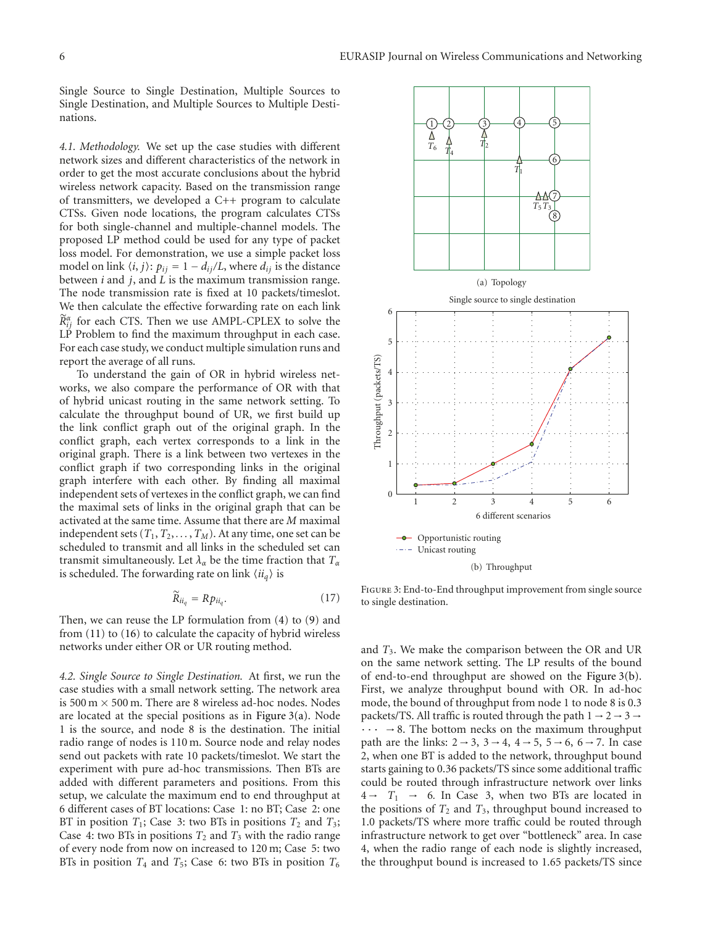Single Source to Single Destination, Multiple Sources to Single Destination, and Multiple Sources to Multiple Destinations.

*4.1. Methodology.* We set up the case studies with different network sizes and different characteristics of the network in order to get the most accurate conclusions about the hybrid wireless network capacity. Based on the transmission range of transmitters, we developed a C++ program to calculate CTSs. Given node locations, the program calculates CTSs for both single-channel and multiple-channel models. The proposed LP method could be used for any type of packet loss model. For demonstration, we use a simple packet loss model on link  $\langle i, j \rangle$ :  $p_{ij} = 1 - d_{ij}/L$ , where  $d_{ij}$  is the distance between *i* and *j*, and *L* is the maximum transmission range. The node transmission rate is fixed at 10 packets/timeslot. We then calculate the effective forwarding rate on each link The node transmission rate is fixed at 10 packets/timeslot.<br>We then calculate the effective forwarding rate on each link<br> $\widetilde{R}^{\alpha}_{ij}$  for each CTS. Then we use AMPL-CPLEX to solve the LP Problem to find the maximum throughput in each case. For each case study, we conduct multiple simulation runs and report the average of all runs.

To understand the gain of OR in hybrid wireless networks, we also compare the performance of OR with that of hybrid unicast routing in the same network setting. To calculate the throughput bound of UR, we first build up the link conflict graph out of the original graph. In the conflict graph, each vertex corresponds to a link in the original graph. There is a link between two vertexes in the conflict graph if two corresponding links in the original graph interfere with each other. By finding all maximal independent sets of vertexes in the conflict graph, we can find the maximal sets of links in the original graph that can be activated at the same time. Assume that there are *M* maximal independent sets  $(T_1, T_2, \ldots, T_M)$ . At any time, one set can be scheduled to transmit and all links in the scheduled set can transmit simultaneously. Let  $\lambda_{\alpha}$  be the time fraction that  $T_{\alpha}$ is scheduled. The forwarding rate on link  $\langle ii_q \rangle$  is *R*<sub>*i*</sub> *R*<sub>*i*</sub> *R*<sub>*i*</sub> *R*<sub>*i*</sub> *i R*<sub>*ii*<sub>*a*</sub> *n i R*<sub>*ii<sub>q</sub>*</sub> *i s R*<sub>*ii<sub>q</sub>*</sub> *e <i>R*<sub>*Pii<sub>q</sub></sub> .* (17)</sub></sub>

$$
\widetilde{R}_{ii_a} = R p_{ii_a}.\tag{17}
$$

Then, we can reuse the LP formulation from (4) to (9) and from (11) to (16) to calculate the capacity of hybrid wireless networks under either OR or UR routing method.

*4.2. Single Source to Single Destination.* At first, we run the case studies with a small network setting. The network area is 500 m  $\times$  500 m. There are 8 wireless ad-hoc nodes. Nodes are located at the special positions as in Figure  $3(a)$ . Node 1 is the source, and node 8 is the destination. The initial radio range of nodes is 110 m. Source node and relay nodes send out packets with rate 10 packets/timeslot. We start the experiment with pure ad-hoc transmissions. Then BTs are added with different parameters and positions. From this setup, we calculate the maximum end to end throughput at 6 different cases of BT locations: Case 1: no BT; Case 2: one BT in position  $T_1$ ; Case 3: two BTs in positions  $T_2$  and  $T_3$ ; Case 4: two BTs in positions  $T_2$  and  $T_3$  with the radio range of every node from now on increased to 120 m; Case 5: two BTs in position  $T_4$  and  $T_5$ ; Case 6: two BTs in position  $T_6$ 



Figure 3: End-to-End throughput improvement from single source to single destination.

and *T*3. We make the comparison between the OR and UR on the same network setting. The LP results of the bound of end-to-end throughput are showed on the Figure 3(b). First, we analyze throughput bound with OR. In ad-hoc mode, the bound of throughput from node 1 to node 8 is 0.3 packets/TS. All traffic is routed through the path  $1 \rightarrow 2 \rightarrow 3 \rightarrow$  $\cdots \rightarrow 8$ . The bottom necks on the maximum throughput path are the links:  $2 \rightarrow 3$ ,  $3 \rightarrow 4$ ,  $4 \rightarrow 5$ ,  $5 \rightarrow 6$ ,  $6 \rightarrow 7$ . In case 2, when one BT is added to the network, throughput bound starts gaining to 0.36 packets/TS since some additional traffic could be routed through infrastructure network over links  $4 \rightarrow T_1 \rightarrow 6$ . In Case 3, when two BTs are located in the positions of  $T_2$  and  $T_3$ , throughput bound increased to 1.0 packets/TS where more traffic could be routed through infrastructure network to get over "bottleneck" area. In case 4, when the radio range of each node is slightly increased, the throughput bound is increased to 1.65 packets/TS since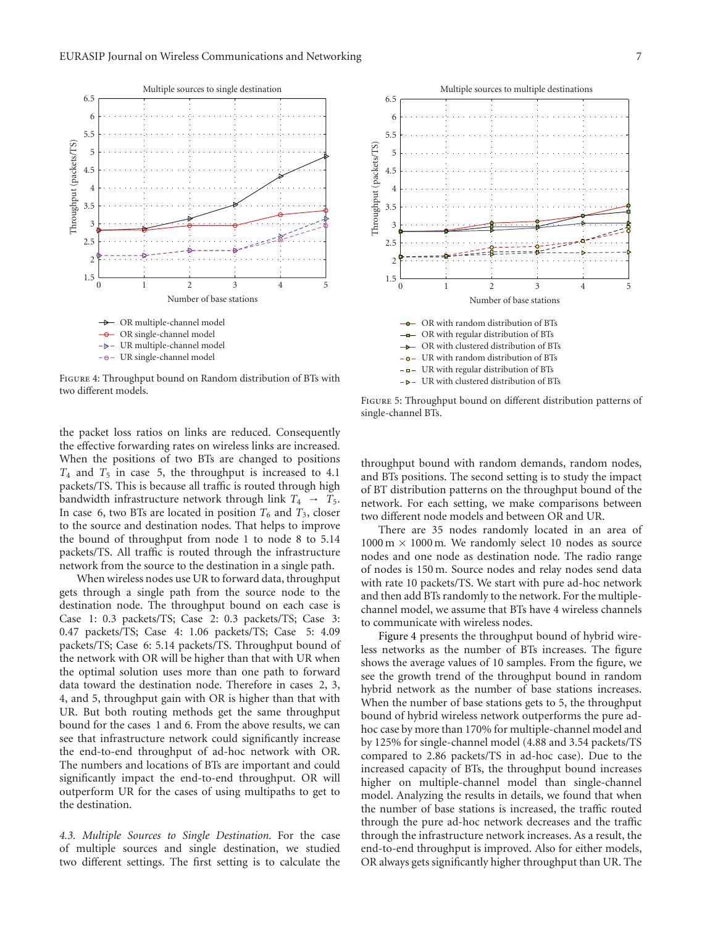

Figure 4: Throughput bound on Random distribution of BTs with two different models.

the packet loss ratios on links are reduced. Consequently the effective forwarding rates on wireless links are increased. When the positions of two BTs are changed to positions  $T_4$  and  $T_5$  in case 5, the throughput is increased to 4.1 packets/TS. This is because all traffic is routed through high bandwidth infrastructure network through link  $T_4 \rightarrow T_5$ . In case 6, two BTs are located in position  $T_6$  and  $T_3$ , closer to the source and destination nodes. That helps to improve the bound of throughput from node 1 to node 8 to 5.14 packets/TS. All traffic is routed through the infrastructure network from the source to the destination in a single path.

When wireless nodes use UR to forward data, throughput gets through a single path from the source node to the destination node. The throughput bound on each case is Case 1: 0.3 packets/TS; Case 2: 0.3 packets/TS; Case 3: 0.47 packets/TS; Case 4: 1.06 packets/TS; Case 5: 4.09 packets/TS; Case 6: 5.14 packets/TS. Throughput bound of the network with OR will be higher than that with UR when the optimal solution uses more than one path to forward data toward the destination node. Therefore in cases 2, 3, 4, and 5, throughput gain with OR is higher than that with UR. But both routing methods get the same throughput bound for the cases 1 and 6. From the above results, we can see that infrastructure network could significantly increase the end-to-end throughput of ad-hoc network with OR. The numbers and locations of BTs are important and could significantly impact the end-to-end throughput. OR will outperform UR for the cases of using multipaths to get to the destination.

*4.3. Multiple Sources to Single Destination.* For the case of multiple sources and single destination, we studied two different settings. The first setting is to calculate the



Figure 5: Throughput bound on different distribution patterns of single-channel BTs.

throughput bound with random demands, random nodes, and BTs positions. The second setting is to study the impact of BT distribution patterns on the throughput bound of the network. For each setting, we make comparisons between two different node models and between OR and UR.

There are 35 nodes randomly located in an area of  $1000 \text{ m} \times 1000 \text{ m}$ . We randomly select 10 nodes as source nodes and one node as destination node. The radio range of nodes is 150 m. Source nodes and relay nodes send data with rate 10 packets/TS. We start with pure ad-hoc network and then add BTs randomly to the network. For the multiplechannel model, we assume that BTs have 4 wireless channels to communicate with wireless nodes.

Figure 4 presents the throughput bound of hybrid wireless networks as the number of BTs increases. The figure shows the average values of 10 samples. From the figure, we see the growth trend of the throughput bound in random hybrid network as the number of base stations increases. When the number of base stations gets to 5, the throughput bound of hybrid wireless network outperforms the pure adhoc case by more than 170% for multiple-channel model and by 125% for single-channel model (4.88 and 3.54 packets/TS compared to 2.86 packets/TS in ad-hoc case). Due to the increased capacity of BTs, the throughput bound increases higher on multiple-channel model than single-channel model. Analyzing the results in details, we found that when the number of base stations is increased, the traffic routed through the pure ad-hoc network decreases and the traffic through the infrastructure network increases. As a result, the end-to-end throughput is improved. Also for either models, OR always gets significantly higher throughput than UR. The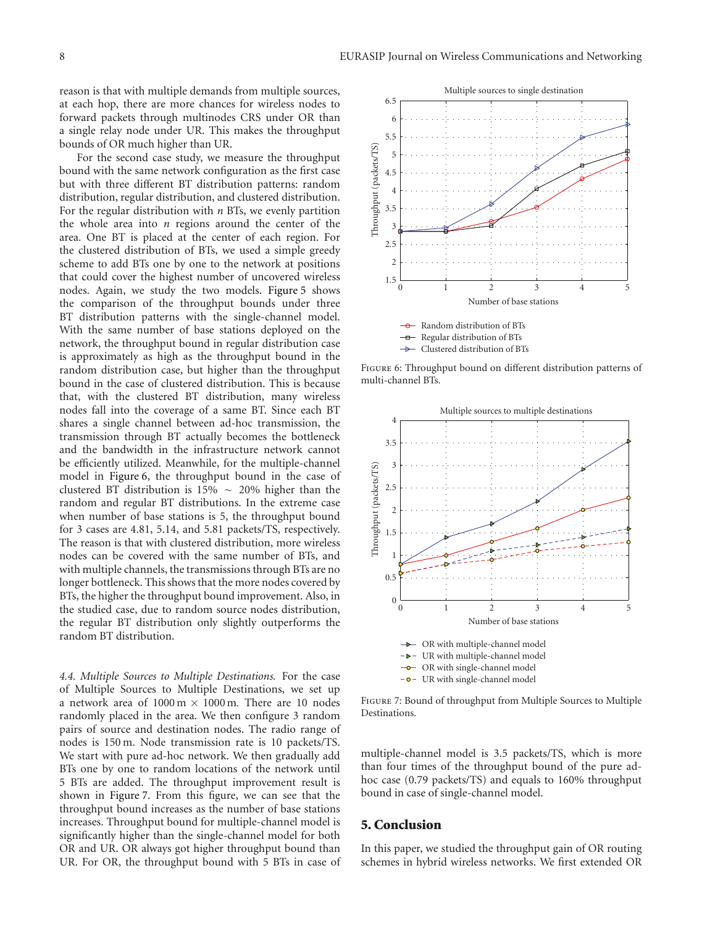reason is that with multiple demands from multiple sources, at each hop, there are more chances for wireless nodes to forward packets through multinodes CRS under OR than a single relay node under UR. This makes the throughput bounds of OR much higher than UR.

For the second case study, we measure the throughput bound with the same network configuration as the first case but with three different BT distribution patterns: random distribution, regular distribution, and clustered distribution. For the regular distribution with *n* BTs, we evenly partition the whole area into *n* regions around the center of the area. One BT is placed at the center of each region. For the clustered distribution of BTs, we used a simple greedy scheme to add BTs one by one to the network at positions that could cover the highest number of uncovered wireless nodes. Again, we study the two models. Figure 5 shows the comparison of the throughput bounds under three BT distribution patterns with the single-channel model. With the same number of base stations deployed on the network, the throughput bound in regular distribution case is approximately as high as the throughput bound in the random distribution case, but higher than the throughput bound in the case of clustered distribution. This is because that, with the clustered BT distribution, many wireless nodes fall into the coverage of a same BT. Since each BT shares a single channel between ad-hoc transmission, the transmission through BT actually becomes the bottleneck and the bandwidth in the infrastructure network cannot be efficiently utilized. Meanwhile, for the multiple-channel model in Figure 6, the throughput bound in the case of clustered BT distribution is 15% ∼ 20% higher than the random and regular BT distributions. In the extreme case when number of base stations is 5, the throughput bound for 3 cases are 4.81, 5.14, and 5.81 packets/TS, respectively. The reason is that with clustered distribution, more wireless nodes can be covered with the same number of BTs, and with multiple channels, the transmissions through BTs are no longer bottleneck. This shows that the more nodes covered by BTs, the higher the throughput bound improvement. Also, in the studied case, due to random source nodes distribution, the regular BT distribution only slightly outperforms the random BT distribution.

*4.4. Multiple Sources to Multiple Destinations.* For the case of Multiple Sources to Multiple Destinations, we set up a network area of  $1000 \text{ m} \times 1000 \text{ m}$ . There are 10 nodes randomly placed in the area. We then configure 3 random pairs of source and destination nodes. The radio range of nodes is 150 m. Node transmission rate is 10 packets/TS. We start with pure ad-hoc network. We then gradually add BTs one by one to random locations of the network until 5 BTs are added. The throughput improvement result is shown in Figure 7. From this figure, we can see that the throughput bound increases as the number of base stations increases. Throughput bound for multiple-channel model is significantly higher than the single-channel model for both OR and UR. OR always got higher throughput bound than UR. For OR, the throughput bound with 5 BTs in case of



Figure 6: Throughput bound on different distribution patterns of multi-channel BTs.



Figure 7: Bound of throughput from Multiple Sources to Multiple Destinations.

multiple-channel model is 3.5 packets/TS, which is more than four times of the throughput bound of the pure adhoc case (0.79 packets/TS) and equals to 160% throughput bound in case of single-channel model.

## **5. Conclusion**

In this paper, we studied the throughput gain of OR routing schemes in hybrid wireless networks. We first extended OR